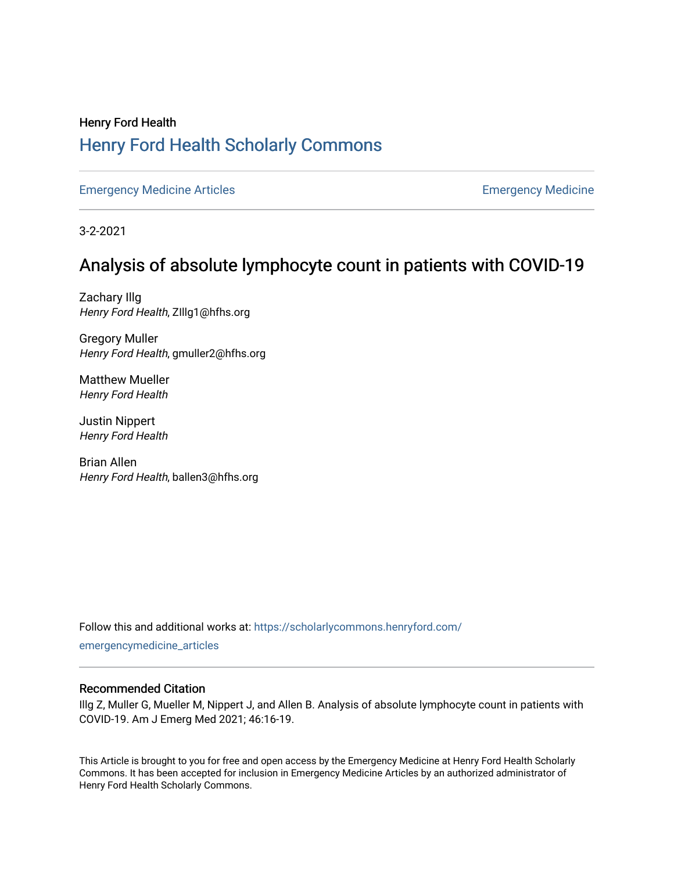## Henry Ford Health [Henry Ford Health Scholarly Commons](https://scholarlycommons.henryford.com/)

[Emergency Medicine Articles](https://scholarlycommons.henryford.com/emergencymedicine_articles) **Emergency Medicine** 

3-2-2021

# Analysis of absolute lymphocyte count in patients with COVID-19

Zachary Illg Henry Ford Health, ZIllg1@hfhs.org

Gregory Muller Henry Ford Health, gmuller2@hfhs.org

Matthew Mueller Henry Ford Health

Justin Nippert Henry Ford Health

Brian Allen Henry Ford Health, ballen3@hfhs.org

Follow this and additional works at: [https://scholarlycommons.henryford.com/](https://scholarlycommons.henryford.com/emergencymedicine_articles?utm_source=scholarlycommons.henryford.com%2Femergencymedicine_articles%2F220&utm_medium=PDF&utm_campaign=PDFCoverPages) [emergencymedicine\\_articles](https://scholarlycommons.henryford.com/emergencymedicine_articles?utm_source=scholarlycommons.henryford.com%2Femergencymedicine_articles%2F220&utm_medium=PDF&utm_campaign=PDFCoverPages) 

### Recommended Citation

Illg Z, Muller G, Mueller M, Nippert J, and Allen B. Analysis of absolute lymphocyte count in patients with COVID-19. Am J Emerg Med 2021; 46:16-19.

This Article is brought to you for free and open access by the Emergency Medicine at Henry Ford Health Scholarly Commons. It has been accepted for inclusion in Emergency Medicine Articles by an authorized administrator of Henry Ford Health Scholarly Commons.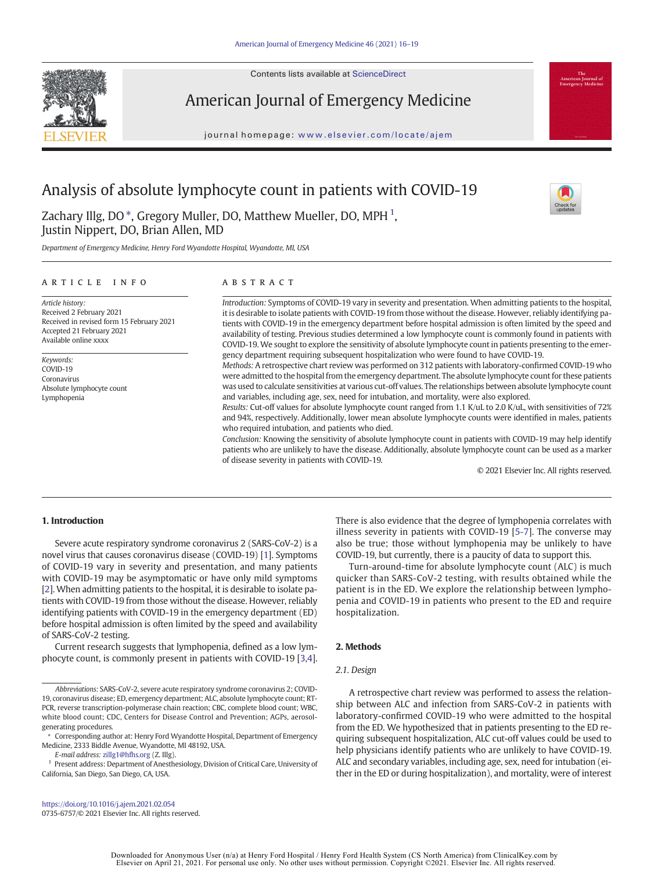Contents lists available at ScienceDirect



American Journal of Emergency Medicine

journal homepage: <www.elsevier.com/locate/ajem>

### Analysis of absolute lymphocyte count in patients with COVID-19

Zachary Illg, DO  $^\ast$ , Gregory Muller, DO, Matthew Mueller, DO, MPH  $^1$ , Justin Nippert, DO, Brian Allen, MD

Department of Emergency Medicine, Henry Ford Wyandotte Hospital, Wyandotte, MI, USA

#### article info abstract

Article history: Received 2 February 2021 Received in revised form 15 February 2021 Accepted 21 February 2021 Available online xxxx

Keywords: COVID-19 Coronavirus Absolute lymphocyte count Lymphopenia

Introduction: Symptoms of COVID-19 vary in severity and presentation. When admitting patients to the hospital, it is desirable to isolate patients with COVID-19 from those without the disease. However, reliably identifying patients with COVID-19 in the emergency department before hospital admission is often limited by the speed and availability of testing. Previous studies determined a low lymphocyte count is commonly found in patients with COVID-19. We sought to explore the sensitivity of absolute lymphocyte count in patients presenting to the emergency department requiring subsequent hospitalization who were found to have COVID-19.

Methods: A retrospective chart review was performed on 312 patients with laboratory-confirmed COVID-19 who were admitted to the hospital from the emergency department. The absolute lymphocyte count for these patients was used to calculate sensitivities at various cut-off values. The relationships between absolute lymphocyte count and variables, including age, sex, need for intubation, and mortality, were also explored.

Results: Cut-off values for absolute lymphocyte count ranged from 1.1 K/uL to 2.0 K/uL, with sensitivities of 72% and 94%, respectively. Additionally, lower mean absolute lymphocyte counts were identified in males, patients who required intubation, and patients who died.

Conclusion: Knowing the sensitivity of absolute lymphocyte count in patients with COVID-19 may help identify patients who are unlikely to have the disease. Additionally, absolute lymphocyte count can be used as a marker of disease severity in patients with COVID-19.

© 2021 Elsevier Inc. All rights reserved.

### 1. Introduction

Severe acute respiratory syndrome coronavirus 2 (SARS-CoV-2) is a novel virus that causes coronavirus disease (COVID-19) [\[1\]](#page-4-0). Symptoms of COVID-19 vary in severity and presentation, and many patients with COVID-19 may be asymptomatic or have only mild symptoms [[2](#page-4-0)]. When admitting patients to the hospital, it is desirable to isolate patients with COVID-19 from those without the disease. However, reliably identifying patients with COVID-19 in the emergency department (ED) before hospital admission is often limited by the speed and availability of SARS-CoV-2 testing.

Current research suggests that lymphopenia, defined as a low lymphocyte count, is commonly present in patients with COVID-19 [[3](#page-4-0),[4\]](#page-4-0).

E-mail address: [zillg1@hfhs.org](mailto:zillg1@hfhs.org) (Z. Illg).

There is also evidence that the degree of lymphopenia correlates with illness severity in patients with COVID-19 [\[5-7\]](#page-4-0). The converse may also be true; those without lymphopenia may be unlikely to have COVID-19, but currently, there is a paucity of data to support this.

Turn-around-time for absolute lymphocyte count (ALC) is much quicker than SARS-CoV-2 testing, with results obtained while the patient is in the ED. We explore the relationship between lymphopenia and COVID-19 in patients who present to the ED and require hospitalization.

#### 2. Methods

#### 2.1. Design

A retrospective chart review was performed to assess the relationship between ALC and infection from SARS-CoV-2 in patients with laboratory-confirmed COVID-19 who were admitted to the hospital from the ED. We hypothesized that in patients presenting to the ED requiring subsequent hospitalization, ALC cut-off values could be used to help physicians identify patients who are unlikely to have COVID-19. ALC and secondary variables, including age, sex, need for intubation (either in the ED or during hospitalization), and mortality, were of interest



Abbreviations: SARS-CoV-2, severe acute respiratory syndrome coronavirus 2; COVID-19, coronavirus disease; ED, emergency department; ALC, absolute lymphocyte count; RT-PCR, reverse transcription-polymerase chain reaction; CBC, complete blood count; WBC, white blood count; CDC, Centers for Disease Control and Prevention; AGPs, aerosolgenerating procedures.

<sup>⁎</sup> Corresponding author at: Henry Ford Wyandotte Hospital, Department of Emergency Medicine, 2333 Biddle Avenue, Wyandotte, MI 48192, USA.

<sup>1</sup> Present address: Department of Anesthesiology, Division of Critical Care, University of California, San Diego, San Diego, CA, USA.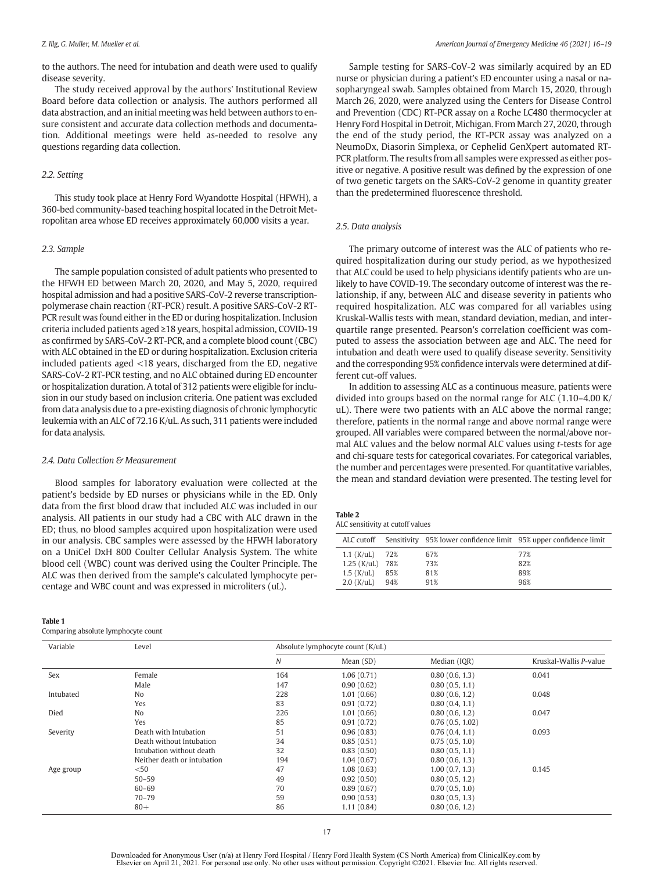<span id="page-2-0"></span>to the authors. The need for intubation and death were used to qualify disease severity.

The study received approval by the authors' Institutional Review Board before data collection or analysis. The authors performed all data abstraction, and an initial meeting was held between authors to ensure consistent and accurate data collection methods and documentation. Additional meetings were held as-needed to resolve any questions regarding data collection.

#### 2.2. Setting

This study took place at Henry Ford Wyandotte Hospital (HFWH), a 360-bed community-based teaching hospital located in the Detroit Metropolitan area whose ED receives approximately 60,000 visits a year.

#### 2.3. Sample

The sample population consisted of adult patients who presented to the HFWH ED between March 20, 2020, and May 5, 2020, required hospital admission and had a positive SARS-CoV-2 reverse transcriptionpolymerase chain reaction (RT-PCR) result. A positive SARS-CoV-2 RT-PCR result was found either in the ED or during hospitalization. Inclusion criteria included patients aged ≥18 years, hospital admission, COVID-19 as confirmed by SARS-CoV-2 RT-PCR, and a complete blood count (CBC) with ALC obtained in the ED or during hospitalization. Exclusion criteria included patients aged <18 years, discharged from the ED, negative SARS-CoV-2 RT-PCR testing, and no ALC obtained during ED encounter or hospitalization duration. A total of 312 patients were eligible for inclusion in our study based on inclusion criteria. One patient was excluded from data analysis due to a pre-existing diagnosis of chronic lymphocytic leukemia with an ALC of 72.16 K/uL. As such, 311 patients were included for data analysis.

#### 2.4. Data Collection & Measurement

Blood samples for laboratory evaluation were collected at the patient's bedside by ED nurses or physicians while in the ED. Only data from the first blood draw that included ALC was included in our analysis. All patients in our study had a CBC with ALC drawn in the ED; thus, no blood samples acquired upon hospitalization were used in our analysis. CBC samples were assessed by the HFWH laboratory on a UniCel DxH 800 Coulter Cellular Analysis System. The white blood cell (WBC) count was derived using the Coulter Principle. The ALC was then derived from the sample's calculated lymphocyte percentage and WBC count and was expressed in microliters (uL).

| <b>Table 1</b>                      |  |
|-------------------------------------|--|
| Comparing absolute lymphocyte count |  |

Sample testing for SARS-CoV-2 was similarly acquired by an ED nurse or physician during a patient's ED encounter using a nasal or nasopharyngeal swab. Samples obtained from March 15, 2020, through March 26, 2020, were analyzed using the Centers for Disease Control and Prevention (CDC) RT-PCR assay on a Roche LC480 thermocycler at Henry Ford Hospital in Detroit, Michigan. From March 27, 2020, through the end of the study period, the RT-PCR assay was analyzed on a NeumoDx, Diasorin Simplexa, or Cephelid GenXpert automated RT-PCR platform. The results from all samples were expressed as either positive or negative. A positive result was defined by the expression of one of two genetic targets on the SARS-CoV-2 genome in quantity greater than the predetermined fluorescence threshold.

#### 2.5. Data analysis

The primary outcome of interest was the ALC of patients who required hospitalization during our study period, as we hypothesized that ALC could be used to help physicians identify patients who are unlikely to have COVID-19. The secondary outcome of interest was the relationship, if any, between ALC and disease severity in patients who required hospitalization. ALC was compared for all variables using Kruskal-Wallis tests with mean, standard deviation, median, and interquartile range presented. Pearson's correlation coefficient was computed to assess the association between age and ALC. The need for intubation and death were used to qualify disease severity. Sensitivity and the corresponding 95% confidence intervals were determined at different cut-off values.

In addition to assessing ALC as a continuous measure, patients were divided into groups based on the normal range for ALC (1.10–4.00 K/ uL). There were two patients with an ALC above the normal range; therefore, patients in the normal range and above normal range were grouped. All variables were compared between the normal/above normal ALC values and the below normal ALC values using t-tests for age and chi-square tests for categorical covariates. For categorical variables, the number and percentages were presented. For quantitative variables, the mean and standard deviation were presented. The testing level for

| Table 2 |                                  |
|---------|----------------------------------|
|         | ALC sensitivity at cutoff values |

| ALC cutoff    |     | Sensitivity 95% lower confidence limit 95% upper confidence limit |     |
|---------------|-----|-------------------------------------------------------------------|-----|
| $1.1$ (K/uL)  | 72% | 67%                                                               | 77% |
| $1.25$ (K/uL) | 78% | 73%                                                               | 82% |
| $1.5$ (K/uL)  | 85% | 81%                                                               | 89% |
| $2.0$ (K/uL)  | 94% | 91%                                                               | 96% |

| Variable  | Level                       | Absolute lymphocyte count (K/uL) |            |                 |                        |
|-----------|-----------------------------|----------------------------------|------------|-----------------|------------------------|
|           |                             | N                                | Mean (SD)  | Median (IQR)    | Kruskal-Wallis P-value |
| Sex       | Female                      | 164                              | 1.06(0.71) | 0.80(0.6, 1.3)  | 0.041                  |
|           | Male                        | 147                              | 0.90(0.62) | 0.80(0.5, 1.1)  |                        |
| Intubated | No                          | 228                              | 1.01(0.66) | 0.80(0.6, 1.2)  | 0.048                  |
|           | Yes                         | 83                               | 0.91(0.72) | 0.80(0.4, 1.1)  |                        |
| Died      | No                          | 226                              | 1.01(0.66) | 0.80(0.6, 1.2)  | 0.047                  |
|           | Yes                         | 85                               | 0.91(0.72) | 0.76(0.5, 1.02) |                        |
| Severity  | Death with Intubation       | 51                               | 0.96(0.83) | 0.76(0.4, 1.1)  | 0.093                  |
|           | Death without Intubation    | 34                               | 0.85(0.51) | 0.75(0.5, 1.0)  |                        |
|           | Intubation without death    | 32                               | 0.83(0.50) | 0.80(0.5, 1.1)  |                        |
|           | Neither death or intubation | 194                              | 1.04(0.67) | 0.80(0.6, 1.3)  |                        |
| Age group | $50$                        | 47                               | 1.08(0.63) | 1.00(0.7, 1.3)  | 0.145                  |
|           | $50 - 59$                   | 49                               | 0.92(0.50) | 0.80(0.5, 1.2)  |                        |
|           | $60 - 69$                   | 70                               | 0.89(0.67) | 0.70(0.5, 1.0)  |                        |
|           | $70 - 79$                   | 59                               | 0.90(0.53) | 0.80(0.5, 1.3)  |                        |
|           | $80+$                       | 86                               | 1.11(0.84) | 0.80(0.6, 1.2)  |                        |

Downloaded for Anonymous User (n/a) at Henry Ford Hospital / Henry Ford Health System (CS North America) from ClinicalKey.com by Elsevier on April 21, 2021. For personal use only. No other uses without permission. Copyright ©2021. Elsevier Inc. All rights reserved.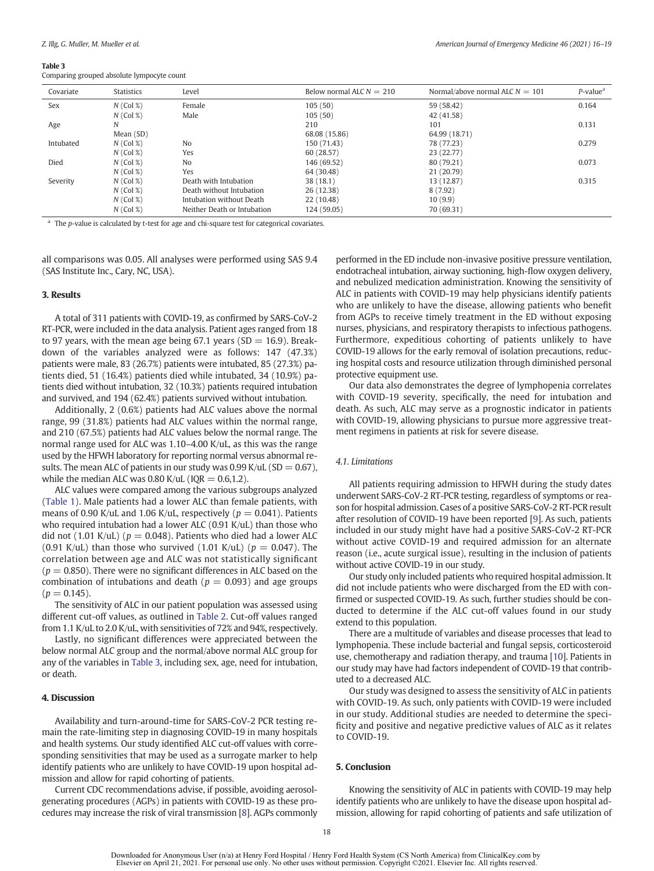#### Table 3

Comparing grouped absolute lympocyte count

| Covariate | <b>Statistics</b> | Level                       | Below normal ALC $N = 210$ | Normal/above normal ALC $N = 101$ | $P$ -value <sup>a</sup> |
|-----------|-------------------|-----------------------------|----------------------------|-----------------------------------|-------------------------|
| Sex       | $N$ (Col %)       | Female                      | 105(50)                    | 59 (58.42)                        | 0.164                   |
|           | $N$ (Col %)       | Male                        | 105(50)                    | 42 (41.58)                        |                         |
| Age       | N                 |                             | 210                        | 101                               | 0.131                   |
|           | Mean (SD)         |                             | 68.08 (15.86)              | 64.99 (18.71)                     |                         |
| Intubated | $N$ (Col %)       | N <sub>0</sub>              | 150 (71.43)                | 78 (77.23)                        | 0.279                   |
|           | $N$ (Col %)       | Yes                         | 60 (28.57)                 | 23 (22.77)                        |                         |
| Died      | $N$ (Col %)       | N <sub>o</sub>              | 146 (69.52)                | 80 (79.21)                        | 0.073                   |
|           | $N$ (Col %)       | Yes                         | 64 (30.48)                 | 21 (20.79)                        |                         |
| Severity  | $N$ (Col %)       | Death with Intubation       | 38(18.1)                   | 13 (12.87)                        | 0.315                   |
|           | $N$ (Col %)       | Death without Intubation    | 26 (12.38)                 | 8(7.92)                           |                         |
|           | $N$ (Col %)       | Intubation without Death    | 22 (10.48)                 | 10(9.9)                           |                         |
|           | $N$ (Col %)       | Neither Death or Intubation | 124 (59.05)                | 70 (69.31)                        |                         |
|           |                   |                             |                            |                                   |                         |

 $a$  The p-value is calculated by t-test for age and chi-square test for categorical covariates.

all comparisons was 0.05. All analyses were performed using SAS 9.4 (SAS Institute Inc., Cary, NC, USA).

#### 3. Results

A total of 311 patients with COVID-19, as confirmed by SARS-CoV-2 RT-PCR, were included in the data analysis. Patient ages ranged from 18 to 97 years, with the mean age being 67.1 years ( $SD = 16.9$ ). Breakdown of the variables analyzed were as follows: 147 (47.3%) patients were male, 83 (26.7%) patients were intubated, 85 (27.3%) patients died, 51 (16.4%) patients died while intubated, 34 (10.9%) patients died without intubation, 32 (10.3%) patients required intubation and survived, and 194 (62.4%) patients survived without intubation.

Additionally, 2 (0.6%) patients had ALC values above the normal range, 99 (31.8%) patients had ALC values within the normal range, and 210 (67.5%) patients had ALC values below the normal range. The normal range used for ALC was 1.10–4.00 K/uL, as this was the range used by the HFWH laboratory for reporting normal versus abnormal results. The mean ALC of patients in our study was  $0.99$  K/uL (SD = 0.67), while the median ALC was 0.80 K/uL ( $IQR = 0.6, 1.2$ ).

ALC values were compared among the various subgroups analyzed ([Table 1](#page-2-0)). Male patients had a lower ALC than female patients, with means of 0.90 K/uL and 1.06 K/uL, respectively ( $p = 0.041$ ). Patients who required intubation had a lower ALC (0.91 K/uL) than those who did not (1.01 K/uL) ( $p = 0.048$ ). Patients who died had a lower ALC (0.91 K/uL) than those who survived (1.01 K/uL) ( $p = 0.047$ ). The correlation between age and ALC was not statistically significant  $(p = 0.850)$ . There were no significant differences in ALC based on the combination of intubations and death ( $p = 0.093$ ) and age groups  $(p = 0.145)$ .

The sensitivity of ALC in our patient population was assessed using different cut-off values, as outlined in [Table 2.](#page-2-0) Cut-off values ranged from 1.1 K/uL to 2.0 K/uL, with sensitivities of 72% and 94%, respectively.

Lastly, no significant differences were appreciated between the below normal ALC group and the normal/above normal ALC group for any of the variables in Table 3, including sex, age, need for intubation, or death.

#### 4. Discussion

Availability and turn-around-time for SARS-CoV-2 PCR testing remain the rate-limiting step in diagnosing COVID-19 in many hospitals and health systems. Our study identified ALC cut-off values with corresponding sensitivities that may be used as a surrogate marker to help identify patients who are unlikely to have COVID-19 upon hospital admission and allow for rapid cohorting of patients.

Current CDC recommendations advise, if possible, avoiding aerosolgenerating procedures (AGPs) in patients with COVID-19 as these procedures may increase the risk of viral transmission [\[8\]](#page-4-0). AGPs commonly

performed in the ED include non-invasive positive pressure ventilation, endotracheal intubation, airway suctioning, high-flow oxygen delivery, and nebulized medication administration. Knowing the sensitivity of ALC in patients with COVID-19 may help physicians identify patients who are unlikely to have the disease, allowing patients who benefit from AGPs to receive timely treatment in the ED without exposing nurses, physicians, and respiratory therapists to infectious pathogens. Furthermore, expeditious cohorting of patients unlikely to have COVID-19 allows for the early removal of isolation precautions, reducing hospital costs and resource utilization through diminished personal protective equipment use.

Our data also demonstrates the degree of lymphopenia correlates with COVID-19 severity, specifically, the need for intubation and death. As such, ALC may serve as a prognostic indicator in patients with COVID-19, allowing physicians to pursue more aggressive treatment regimens in patients at risk for severe disease.

### 4.1. Limitations

All patients requiring admission to HFWH during the study dates underwent SARS-CoV-2 RT-PCR testing, regardless of symptoms or reason for hospital admission. Cases of a positive SARS-CoV-2 RT-PCR result after resolution of COVID-19 have been reported [[9](#page-4-0)]. As such, patients included in our study might have had a positive SARS-CoV-2 RT-PCR without active COVID-19 and required admission for an alternate reason (i.e., acute surgical issue), resulting in the inclusion of patients without active COVID-19 in our study.

Our study only included patients who required hospital admission. It did not include patients who were discharged from the ED with confirmed or suspected COVID-19. As such, further studies should be conducted to determine if the ALC cut-off values found in our study extend to this population.

There are a multitude of variables and disease processes that lead to lymphopenia. These include bacterial and fungal sepsis, corticosteroid use, chemotherapy and radiation therapy, and trauma [[10\]](#page-4-0). Patients in our study may have had factors independent of COVID-19 that contributed to a decreased ALC.

Our study was designed to assess the sensitivity of ALC in patients with COVID-19. As such, only patients with COVID-19 were included in our study. Additional studies are needed to determine the specificity and positive and negative predictive values of ALC as it relates to COVID-19.

#### 5. Conclusion

Knowing the sensitivity of ALC in patients with COVID-19 may help identify patients who are unlikely to have the disease upon hospital admission, allowing for rapid cohorting of patients and safe utilization of